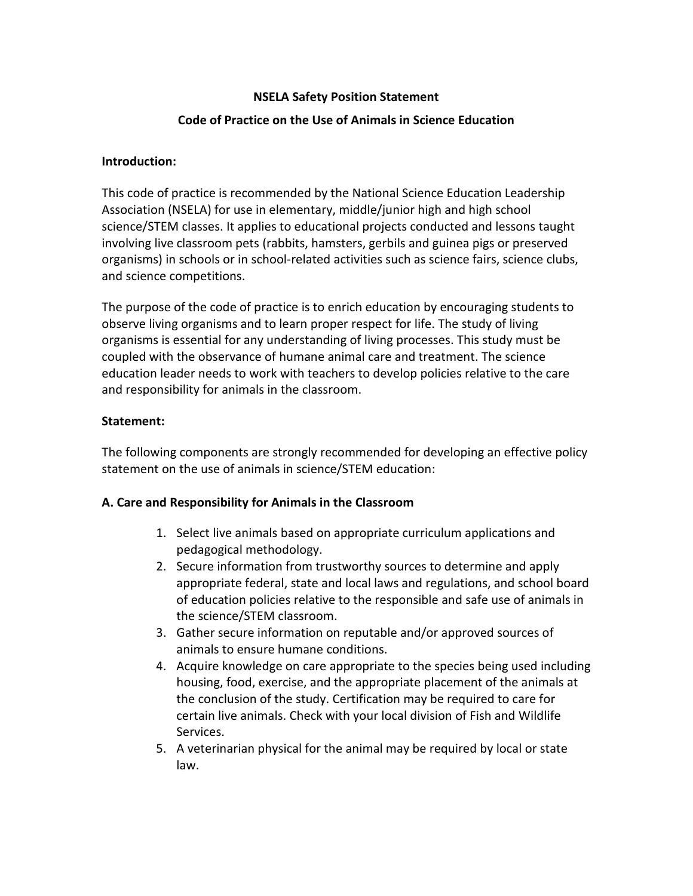## **NSELA Safety Position Statement**

## **Code of Practice on the Use of Animals in Science Education**

## **Introduction:**

This code of practice is recommended by the National Science Education Leadership Association (NSELA) for use in elementary, middle/junior high and high school science/STEM classes. It applies to educational projects conducted and lessons taught involving live classroom pets (rabbits, hamsters, gerbils and guinea pigs or preserved organisms) in schools or in school-related activities such as science fairs, science clubs, and science competitions.

The purpose of the code of practice is to enrich education by encouraging students to observe living organisms and to learn proper respect for life. The study of living organisms is essential for any understanding of living processes. This study must be coupled with the observance of humane animal care and treatment. The science education leader needs to work with teachers to develop policies relative to the care and responsibility for animals in the classroom.

## **Statement:**

The following components are strongly recommended for developing an effective policy statement on the use of animals in science/STEM education:

## **A. Care and Responsibility for Animals in the Classroom**

- 1. Select live animals based on appropriate curriculum applications and pedagogical methodology.
- 2. Secure information from trustworthy sources to determine and apply appropriate federal, state and local laws and regulations, and school board of education policies relative to the responsible and safe use of animals in the science/STEM classroom.
- 3. Gather secure information on reputable and/or approved sources of animals to ensure humane conditions.
- 4. Acquire knowledge on care appropriate to the species being used including housing, food, exercise, and the appropriate placement of the animals at the conclusion of the study. Certification may be required to care for certain live animals. Check with your local division of Fish and Wildlife Services.
- 5. A veterinarian physical for the animal may be required by local or state law.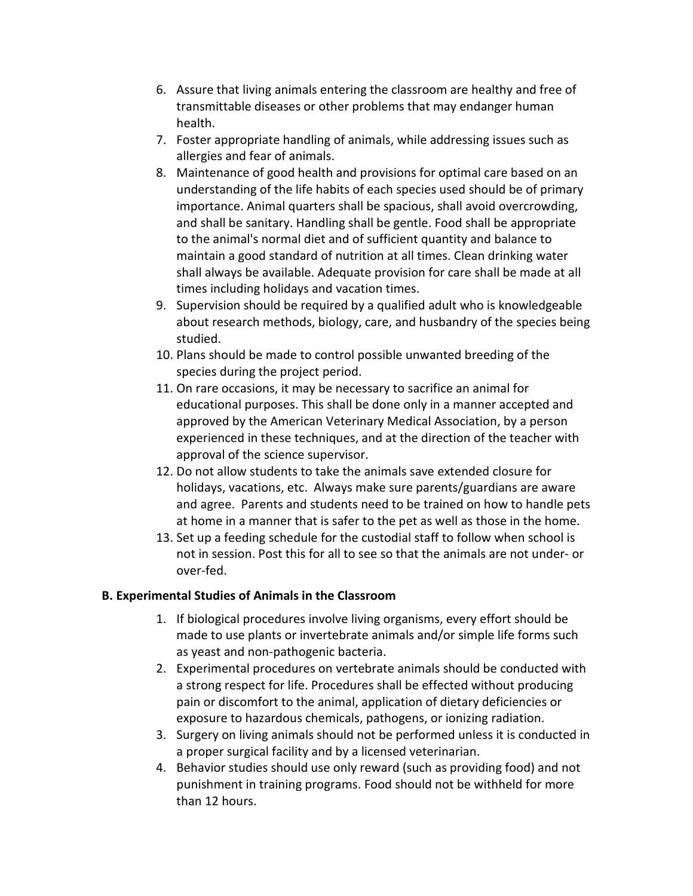- 6. Assure that living animals entering the classroom are healthy and free of transmittable diseases or other problems that may endanger human health.
- 7. Foster appropriate handling of animals, while addressing issues such as allergies and fear of animals.
- 8. Maintenance of good health and provisions for optimal care based on an understanding of the life habits of each species used should be of primary importance. Animal quarters shall be spacious, shall avoid overcrowding, and shall be sanitary. Handling shall be gentle. Food shall be appropriate to the animal's normal diet and of sufficient quantity and balance to maintain a good standard of nutrition at all times. Clean drinking water shall always be available. Adequate provision for care shall be made at all times including holidays and vacation times.
- 9. Supervision should be required by a qualified adult who is knowledgeable about research methods, biology, care, and husbandry of the species being studied.
- 10. Plans should be made to control possible unwanted breeding of the species during the project period.
- 11. On rare occasions, it may be necessary to sacrifice an animal for educational purposes. This shall be done only in a manner accepted and approved by the American Veterinary Medical Association, by a person experienced in these techniques, and at the direction of the teacher with approval of the science supervisor.
- 12. Do not allow students to take the animals save extended closure for holidays, vacations, etc. Always make sure parents/guardians are aware and agree. Parents and students need to be trained on how to handle pets at home in a manner that is safer to the pet as well as those in the home.
- 13. Set up a feeding schedule for the custodial staff to follow when school is not in session. Post this for all to see so that the animals are not under- or over-fed.

## **B. Experimental Studies of Animals in the Classroom**

- 1. If biological procedures involve living organisms, every effort should be made to use plants or invertebrate animals and/or simple life forms such as yeast and non-pathogenic bacteria.
- 2. Experimental procedures on vertebrate animals should be conducted with a strong respect for life. Procedures shall be effected without producing pain or discomfort to the animal, application of dietary deficiencies or exposure to hazardous chemicals, pathogens, or ionizing radiation.
- 3. Surgery on living animals should not be performed unless it is conducted in a proper surgical facility and by a licensed veterinarian.
- 4. Behavior studies should use only reward (such as providing food) and not punishment in training programs. Food should not be withheld for more than 12 hours.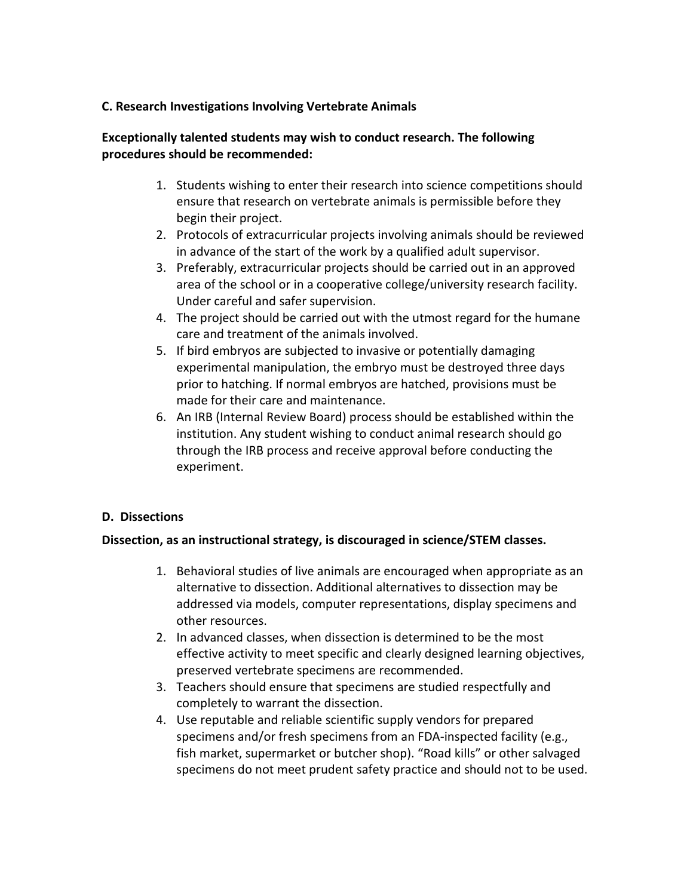#### **C. Research Investigations Involving Vertebrate Animals**

## **Exceptionally talented students may wish to conduct research. The following procedures should be recommended:**

- 1. Students wishing to enter their research into science competitions should ensure that research on vertebrate animals is permissible before they begin their project.
- 2. Protocols of extracurricular projects involving animals should be reviewed in advance of the start of the work by a qualified adult supervisor.
- 3. Preferably, extracurricular projects should be carried out in an approved area of the school or in a cooperative college/university research facility. Under careful and safer supervision.
- 4. The project should be carried out with the utmost regard for the humane care and treatment of the animals involved.
- 5. If bird embryos are subjected to invasive or potentially damaging experimental manipulation, the embryo must be destroyed three days prior to hatching. If normal embryos are hatched, provisions must be made for their care and maintenance.
- 6. An IRB (Internal Review Board) process should be established within the institution. Any student wishing to conduct animal research should go through the IRB process and receive approval before conducting the experiment.

## **D. Dissections**

#### **Dissection, as an instructional strategy, is discouraged in science/STEM classes.**

- 1. Behavioral studies of live animals are encouraged when appropriate as an alternative to dissection. Additional alternatives to dissection may be addressed via models, computer representations, display specimens and other resources.
- 2. In advanced classes, when dissection is determined to be the most effective activity to meet specific and clearly designed learning objectives, preserved vertebrate specimens are recommended.
- 3. Teachers should ensure that specimens are studied respectfully and completely to warrant the dissection.
- 4. Use reputable and reliable scientific supply vendors for prepared specimens and/or fresh specimens from an FDA-inspected facility (e.g., fish market, supermarket or butcher shop). "Road kills" or other salvaged specimens do not meet prudent safety practice and should not to be used.